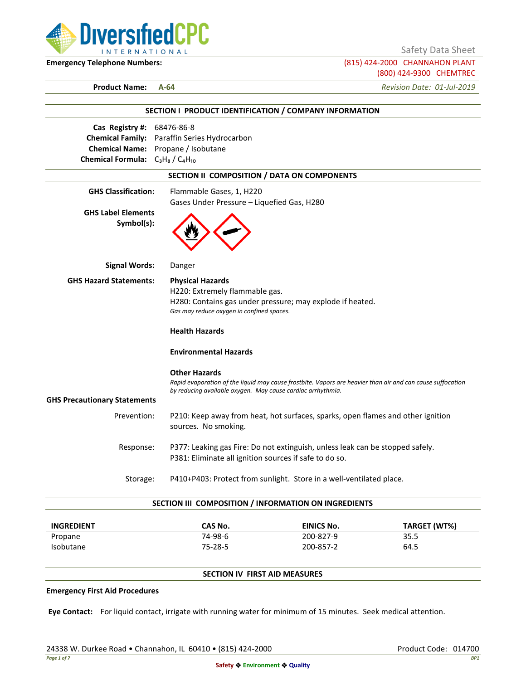

Safety Data Sheet

**Emergency Telephone Numbers:** (815) 424-2000 CHANNAHON PLANT (800) 424-9300 CHEMTREC

**Product Name: A-64** *Revision Date: 01-Jul-2019*

|                                         | SECTION I PRODUCT IDENTIFICATION / COMPANY INFORMATION                                                     |
|-----------------------------------------|------------------------------------------------------------------------------------------------------------|
| Cas Registry #: 68476-86-8              |                                                                                                            |
|                                         | <b>Chemical Family:</b> Paraffin Series Hydrocarbon                                                        |
|                                         | Chemical Name: Propane / Isobutane                                                                         |
| Chemical Formula: $C_3H_8/C_4H_{10}$    |                                                                                                            |
|                                         | SECTION II COMPOSITION / DATA ON COMPONENTS                                                                |
| <b>GHS Classification:</b>              | Flammable Gases, 1, H220                                                                                   |
|                                         | Gases Under Pressure - Liquefied Gas, H280                                                                 |
| <b>GHS Label Elements</b><br>Symbol(s): |                                                                                                            |
| <b>Signal Words:</b>                    | Danger                                                                                                     |
| <b>GHS Hazard Statements:</b>           | <b>Physical Hazards</b>                                                                                    |
|                                         | H220: Extremely flammable gas.                                                                             |
|                                         | H280: Contains gas under pressure; may explode if heated.                                                  |
|                                         | Gas may reduce oxygen in confined spaces.                                                                  |
|                                         | <b>Health Hazards</b>                                                                                      |
|                                         | <b>Environmental Hazards</b>                                                                               |
|                                         | <b>Other Hazards</b>                                                                                       |
|                                         | Rapid evaporation of the liquid may cause frostbite. Vapors are heavier than air and can cause suffocation |
| <b>GHS Precautionary Statements</b>     | by reducing available oxygen. May cause cardiac arrhythmia.                                                |
|                                         |                                                                                                            |
| Prevention:                             | P210: Keep away from heat, hot surfaces, sparks, open flames and other ignition<br>sources. No smoking.    |
| Response:                               | P377: Leaking gas Fire: Do not extinguish, unless leak can be stopped safely.                              |
|                                         | P381: Eliminate all ignition sources if safe to do so.                                                     |
| Storage:                                | P410+P403: Protect from sunlight. Store in a well-ventilated place.                                        |

| <b>INGREDIENT</b> | CAS No. | EINICS No. | TARGET (WT%) |
|-------------------|---------|------------|--------------|
| Propane           | 74-98-6 | 200-827-9  | 35.5         |
| <b>Isobutane</b>  | 75-28-5 | 200-857-2  | 64.5         |

## **SECTION IV FIRST AID MEASURES**

### **Emergency First Aid Procedures**

**Eye Contact:** For liquid contact, irrigate with running water for minimum of 15 minutes. Seek medical attention.

24338 W. Durkee Road • Channahon, IL 60410 • (815) 424-2000 Product Code: 014700 Product Code: 014700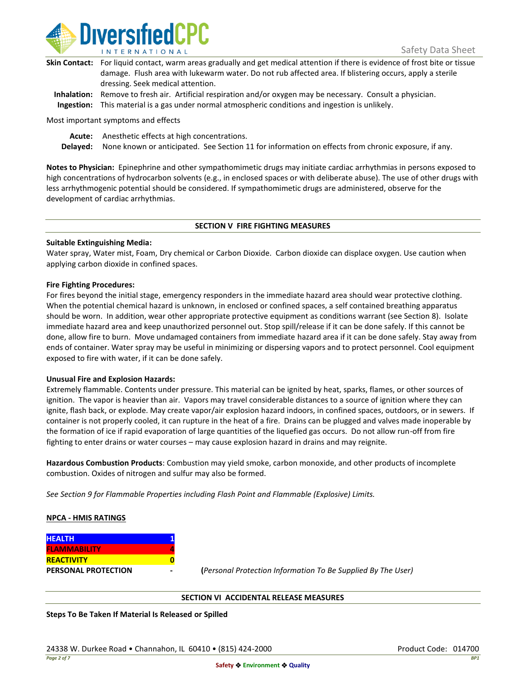

| Skin Contact: For liquid contact, warm areas gradually and get medical attention if there is evidence of frost bite or tissue |
|-------------------------------------------------------------------------------------------------------------------------------|
| damage. Flush area with lukewarm water. Do not rub affected area. If blistering occurs, apply a sterile                       |
| dressing. Seek medical attention.                                                                                             |
|                                                                                                                               |

**Inhalation:** Remove to fresh air. Artificial respiration and/or oxygen may be necessary. Consult a physician. **Ingestion:** This material is a gas under normal atmospheric conditions and ingestion is unlikely.

Most important symptoms and effects

**Acute:** Anesthetic effects at high concentrations.

**Delayed:** None known or anticipated. See Section 11 for information on effects from chronic exposure, if any.

**Notes to Physician:** Epinephrine and other sympathomimetic drugs may initiate cardiac arrhythmias in persons exposed to high concentrations of hydrocarbon solvents (e.g., in enclosed spaces or with deliberate abuse). The use of other drugs with less arrhythmogenic potential should be considered. If sympathomimetic drugs are administered, observe for the development of cardiac arrhythmias.

### **SECTION V FIRE FIGHTING MEASURES**

### **Suitable Extinguishing Media:**

Water spray, Water mist, Foam, Dry chemical or Carbon Dioxide. Carbon dioxide can displace oxygen. Use caution when applying carbon dioxide in confined spaces.

### **Fire Fighting Procedures:**

For fires beyond the initial stage, emergency responders in the immediate hazard area should wear protective clothing. When the potential chemical hazard is unknown, in enclosed or confined spaces, a self contained breathing apparatus should be worn. In addition, wear other appropriate protective equipment as conditions warrant (see Section 8). Isolate immediate hazard area and keep unauthorized personnel out. Stop spill/release if it can be done safely. If this cannot be done, allow fire to burn. Move undamaged containers from immediate hazard area if it can be done safely. Stay away from ends of container. Water spray may be useful in minimizing or dispersing vapors and to protect personnel. Cool equipment exposed to fire with water, if it can be done safely.

### **Unusual Fire and Explosion Hazards:**

Extremely flammable. Contents under pressure. This material can be ignited by heat, sparks, flames, or other sources of ignition. The vapor is heavier than air. Vapors may travel considerable distances to a source of ignition where they can ignite, flash back, or explode. May create vapor/air explosion hazard indoors, in confined spaces, outdoors, or in sewers. If container is not properly cooled, it can rupture in the heat of a fire. Drains can be plugged and valves made inoperable by the formation of ice if rapid evaporation of large quantities of the liquefied gas occurs. Do not allow run-off from fire fighting to enter drains or water courses – may cause explosion hazard in drains and may reignite.

**Hazardous Combustion Products**: Combustion may yield smoke, carbon monoxide, and other products of incomplete combustion. Oxides of nitrogen and sulfur may also be formed.

*See Section 9 for Flammable Properties including Flash Point and Flammable (Explosive) Limits.*

### **NPCA - HMIS RATINGS**

| <b>HEALTH</b>              |  |
|----------------------------|--|
| <b>FLAMMABILITY</b>        |  |
| <b>REACTIVITY</b>          |  |
| <b>PERSONAL PROTECTION</b> |  |

**PERSONAL PROTECTION - (***Personal Protection Information To Be Supplied By The User)*

### **SECTION VI ACCIDENTAL RELEASE MEASURES**

**Steps To Be Taken If Material Is Released or Spilled**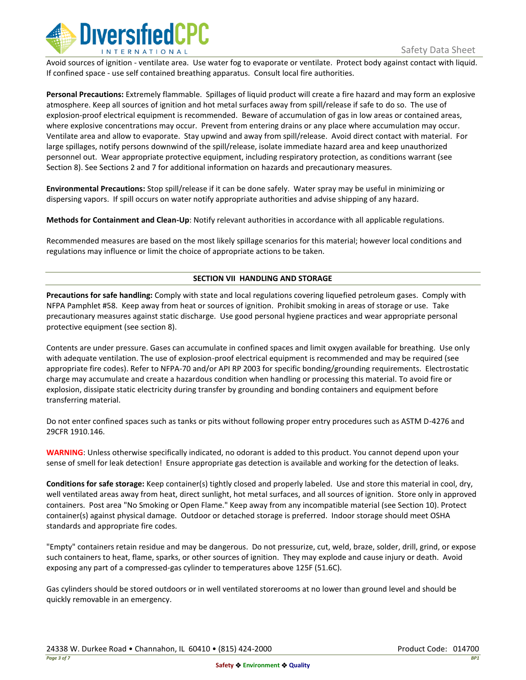

Avoid sources of ignition - ventilate area. Use water fog to evaporate or ventilate. Protect body against contact with liquid. If confined space - use self contained breathing apparatus. Consult local fire authorities.

**Personal Precautions:** Extremely flammable. Spillages of liquid product will create a fire hazard and may form an explosive atmosphere. Keep all sources of ignition and hot metal surfaces away from spill/release if safe to do so. The use of explosion-proof electrical equipment is recommended. Beware of accumulation of gas in low areas or contained areas, where explosive concentrations may occur. Prevent from entering drains or any place where accumulation may occur. Ventilate area and allow to evaporate. Stay upwind and away from spill/release. Avoid direct contact with material. For large spillages, notify persons downwind of the spill/release, isolate immediate hazard area and keep unauthorized personnel out. Wear appropriate protective equipment, including respiratory protection, as conditions warrant (see Section 8). See Sections 2 and 7 for additional information on hazards and precautionary measures.

**Environmental Precautions:** Stop spill/release if it can be done safely. Water spray may be useful in minimizing or dispersing vapors. If spill occurs on water notify appropriate authorities and advise shipping of any hazard.

**Methods for Containment and Clean-Up**: Notify relevant authorities in accordance with all applicable regulations.

Recommended measures are based on the most likely spillage scenarios for this material; however local conditions and regulations may influence or limit the choice of appropriate actions to be taken.

## **SECTION VII HANDLING AND STORAGE**

**Precautions for safe handling:** Comply with state and local regulations covering liquefied petroleum gases. Comply with NFPA Pamphlet #58. Keep away from heat or sources of ignition. Prohibit smoking in areas of storage or use. Take precautionary measures against static discharge. Use good personal hygiene practices and wear appropriate personal protective equipment (see section 8).

Contents are under pressure. Gases can accumulate in confined spaces and limit oxygen available for breathing. Use only with adequate ventilation. The use of explosion-proof electrical equipment is recommended and may be required (see appropriate fire codes). Refer to NFPA-70 and/or API RP 2003 for specific bonding/grounding requirements. Electrostatic charge may accumulate and create a hazardous condition when handling or processing this material. To avoid fire or explosion, dissipate static electricity during transfer by grounding and bonding containers and equipment before transferring material.

Do not enter confined spaces such as tanks or pits without following proper entry procedures such as ASTM D-4276 and 29CFR 1910.146.

**WARNING**: Unless otherwise specifically indicated, no odorant is added to this product. You cannot depend upon your sense of smell for leak detection! Ensure appropriate gas detection is available and working for the detection of leaks.

**Conditions for safe storage:** Keep container(s) tightly closed and properly labeled. Use and store this material in cool, dry, well ventilated areas away from heat, direct sunlight, hot metal surfaces, and all sources of ignition. Store only in approved containers. Post area "No Smoking or Open Flame." Keep away from any incompatible material (see Section 10). Protect container(s) against physical damage. Outdoor or detached storage is preferred. Indoor storage should meet OSHA standards and appropriate fire codes.

"Empty" containers retain residue and may be dangerous. Do not pressurize, cut, weld, braze, solder, drill, grind, or expose such containers to heat, flame, sparks, or other sources of ignition. They may explode and cause injury or death. Avoid exposing any part of a compressed-gas cylinder to temperatures above 125F (51.6C).

Gas cylinders should be stored outdoors or in well ventilated storerooms at no lower than ground level and should be quickly removable in an emergency.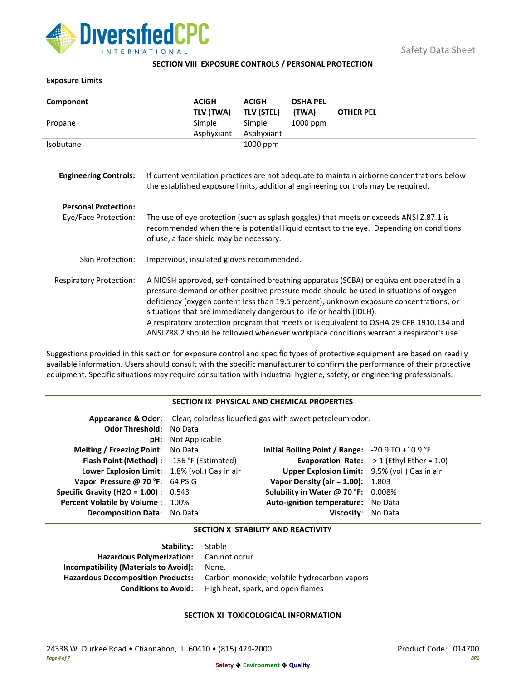

### **SECTION VIII EXPOSURE CONTROLS / PERSONAL PROTECTION**

## **Exposure Limits**

| Component                      |                                                                                                                                                                                                                                                                                                                                                                                                                                                                                                                                            | <b>ACIGH</b> | <b>ACIGH</b>      | <b>OSHA PEL</b> |                  |
|--------------------------------|--------------------------------------------------------------------------------------------------------------------------------------------------------------------------------------------------------------------------------------------------------------------------------------------------------------------------------------------------------------------------------------------------------------------------------------------------------------------------------------------------------------------------------------------|--------------|-------------------|-----------------|------------------|
|                                |                                                                                                                                                                                                                                                                                                                                                                                                                                                                                                                                            | TLV (TWA)    | <b>TLV (STEL)</b> | (TWA)           | <b>OTHER PEL</b> |
| Propane                        |                                                                                                                                                                                                                                                                                                                                                                                                                                                                                                                                            | Simple       | Simple            | 1000 ppm        |                  |
|                                |                                                                                                                                                                                                                                                                                                                                                                                                                                                                                                                                            | Asphyxiant   | Asphyxiant        |                 |                  |
| Isobutane                      |                                                                                                                                                                                                                                                                                                                                                                                                                                                                                                                                            |              | 1000 ppm          |                 |                  |
| <b>Engineering Controls:</b>   | If current ventilation practices are not adequate to maintain airborne concentrations below<br>the established exposure limits, additional engineering controls may be required.                                                                                                                                                                                                                                                                                                                                                           |              |                   |                 |                  |
| <b>Personal Protection:</b>    |                                                                                                                                                                                                                                                                                                                                                                                                                                                                                                                                            |              |                   |                 |                  |
| Eye/Face Protection:           | The use of eye protection (such as splash goggles) that meets or exceeds ANSI Z.87.1 is<br>recommended when there is potential liquid contact to the eye. Depending on conditions<br>of use, a face shield may be necessary.                                                                                                                                                                                                                                                                                                               |              |                   |                 |                  |
| <b>Skin Protection:</b>        | Impervious, insulated gloves recommended.                                                                                                                                                                                                                                                                                                                                                                                                                                                                                                  |              |                   |                 |                  |
| <b>Respiratory Protection:</b> | A NIOSH approved, self-contained breathing apparatus (SCBA) or equivalent operated in a<br>pressure demand or other positive pressure mode should be used in situations of oxygen<br>deficiency (oxygen content less than 19.5 percent), unknown exposure concentrations, or<br>situations that are immediately dangerous to life or health (IDLH).<br>A respiratory protection program that meets or is equivalent to OSHA 29 CFR 1910.134 and<br>ANSI Z88.2 should be followed whenever workplace conditions warrant a respirator's use. |              |                   |                 |                  |

Suggestions provided in this section for exposure control and specific types of protective equipment are based on readily available information. Users should consult with the specific manufacturer to confirm the performance of their protective equipment. Specific situations may require consultation with industrial hygiene, safety, or engineering professionals.

### **SECTION IX PHYSICAL AND CHEMICAL PROPERTIES**

| <b>Odor Threshold: No Data</b>                | <b>pH:</b> Not Applicable | <b>Appearance &amp; Odor:</b> Clear, colorless liquefied gas with sweet petroleum odor. |                                                   |
|-----------------------------------------------|---------------------------|-----------------------------------------------------------------------------------------|---------------------------------------------------|
| <b>Melting / Freezing Point:</b> No Data      |                           | Initial Boiling Point / Range: $-20.9$ TO $+10.9$ °F                                    |                                                   |
| Flash Point (Method): -156 °F (Estimated)     |                           |                                                                                         | <b>Evaporation Rate:</b> $>1$ (Ethyl Ether = 1.0) |
| Lower Explosion Limit: 1.8% (vol.) Gas in air |                           | Upper Explosion Limit: 9.5% (vol.) Gas in air                                           |                                                   |
| Vapor Pressure @ 70 °F: 64 PSIG               |                           | <b>Vapor Density (air = 1.00):</b> 1.803                                                |                                                   |
| <b>Specific Gravity (H2O = 1.00):</b> $0.543$ |                           | Solubility in Water @ 70 °F: 0.008%                                                     |                                                   |
| Percent Volatile by Volume: 100%              |                           | Auto-ignition temperature: No Data                                                      |                                                   |
| <b>Decomposition Data:</b> No Data            |                           | Viscosity: No Data                                                                      |                                                   |

### **SECTION X STABILITY AND REACTIVITY**

| Stable                                       |
|----------------------------------------------|
| Hazardous Polymerization: Can not occur      |
| None.                                        |
| Carbon monoxide, volatile hydrocarbon vapors |
| High heat, spark, and open flames            |
|                                              |

# **SECTION XI TOXICOLOGICAL INFORMATION**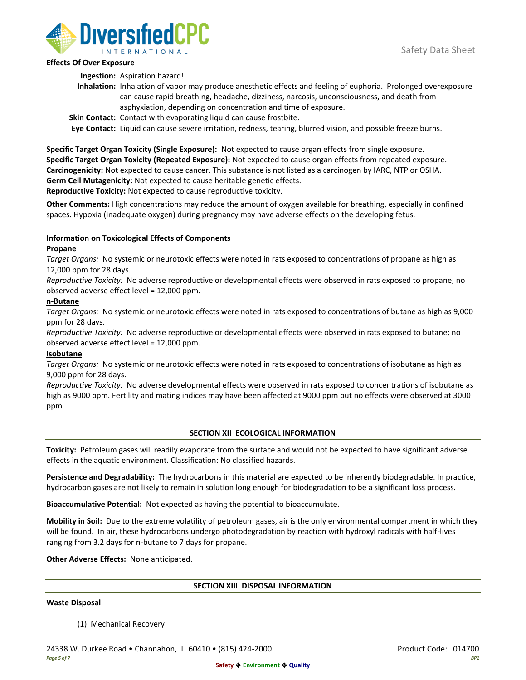

## **Effects Of Over Exposure**

**Ingestion:** Aspiration hazard!

- **Inhalation:** Inhalation of vapor may produce anesthetic effects and feeling of euphoria. Prolonged overexposure can cause rapid breathing, headache, dizziness, narcosis, unconsciousness, and death from asphyxiation, depending on concentration and time of exposure.
- **Skin Contact:** Contact with evaporating liquid can cause frostbite.

**Eye Contact:** Liquid can cause severe irritation, redness, tearing, blurred vision, and possible freeze burns.

**Specific Target Organ Toxicity (Single Exposure):** Not expected to cause organ effects from single exposure. **Specific Target Organ Toxicity (Repeated Exposure):** Not expected to cause organ effects from repeated exposure. **Carcinogenicity:** Not expected to cause cancer. This substance is not listed as a carcinogen by IARC, NTP or OSHA. **Germ Cell Mutagenicity:** Not expected to cause heritable genetic effects.

**Reproductive Toxicity:** Not expected to cause reproductive toxicity.

**Other Comments:** High concentrations may reduce the amount of oxygen available for breathing, especially in confined spaces. Hypoxia (inadequate oxygen) during pregnancy may have adverse effects on the developing fetus.

# **Information on Toxicological Effects of Components**

## **Propane**

*Target Organs:* No systemic or neurotoxic effects were noted in rats exposed to concentrations of propane as high as 12,000 ppm for 28 days.

*Reproductive Toxicity:* No adverse reproductive or developmental effects were observed in rats exposed to propane; no observed adverse effect level = 12,000 ppm.

## **n-Butane**

*Target Organs:* No systemic or neurotoxic effects were noted in rats exposed to concentrations of butane as high as 9,000 ppm for 28 days.

*Reproductive Toxicity:* No adverse reproductive or developmental effects were observed in rats exposed to butane; no observed adverse effect level = 12,000 ppm.

# **Isobutane**

*Target Organs:* No systemic or neurotoxic effects were noted in rats exposed to concentrations of isobutane as high as 9,000 ppm for 28 days.

*Reproductive Toxicity:* No adverse developmental effects were observed in rats exposed to concentrations of isobutane as high as 9000 ppm. Fertility and mating indices may have been affected at 9000 ppm but no effects were observed at 3000 ppm.

# **SECTION XII ECOLOGICAL INFORMATION**

**Toxicity:** Petroleum gases will readily evaporate from the surface and would not be expected to have significant adverse effects in the aquatic environment. Classification: No classified hazards.

**Persistence and Degradability:** The hydrocarbons in this material are expected to be inherently biodegradable. In practice, hydrocarbon gases are not likely to remain in solution long enough for biodegradation to be a significant loss process.

**Bioaccumulative Potential:** Not expected as having the potential to bioaccumulate.

**Mobility in Soil:** Due to the extreme volatility of petroleum gases, air is the only environmental compartment in which they will be found. In air, these hydrocarbons undergo photodegradation by reaction with hydroxyl radicals with half-lives ranging from 3.2 days for n-butane to 7 days for propane.

**Other Adverse Effects:** None anticipated.

# **SECTION XIII DISPOSAL INFORMATION**

### **Waste Disposal**

(1) Mechanical Recovery

24338 W. Durkee Road • Channahon, IL 60410 • (815) 424-2000 Product Code: 014700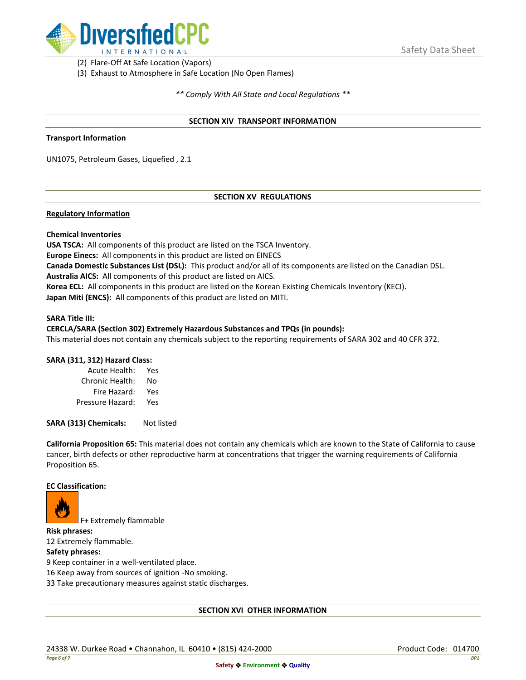

(2) Flare-Off At Safe Location (Vapors)

(3) Exhaust to Atmosphere in Safe Location (No Open Flames)

*\*\* Comply With All State and Local Regulations \*\**

### **SECTION XIV TRANSPORT INFORMATION**

#### **Transport Information**

UN1075, Petroleum Gases, Liquefied , 2.1

## **SECTION XV REGULATIONS**

### **Regulatory Information**

### **Chemical Inventories**

**USA TSCA:** All components of this product are listed on the TSCA Inventory. **Europe Einecs:** All components in this product are listed on EINECS **Canada Domestic Substances List (DSL):** This product and/or all of its components are listed on the Canadian DSL. **Australia AICS:** All components of this product are listed on AICS. **Korea ECL:** All components in this product are listed on the Korean Existing Chemicals Inventory (KECI). **Japan Miti (ENCS):** All components of this product are listed on MITI.

#### **SARA Title III:**

### **CERCLA/SARA (Section 302) Extremely Hazardous Substances and TPQs (in pounds):**

This material does not contain any chemicals subject to the reporting requirements of SARA 302 and 40 CFR 372.

### **SARA (311, 312) Hazard Class:**

| Acute Health:    | Yes |
|------------------|-----|
| Chronic Health:  | No  |
| Fire Hazard:     | Yes |
| Pressure Hazard: | Yes |

**SARA (313) Chemicals:** Not listed

**California Proposition 65:** This material does not contain any chemicals which are known to the State of California to cause cancer, birth defects or other reproductive harm at concentrations that trigger the warning requirements of California Proposition 65.

### **EC Classification:**



F+ Extremely flammable

**Risk phrases:** 12 Extremely flammable.

### **Safety phrases:**

9 Keep container in a well-ventilated place.

16 Keep away from sources of ignition -No smoking.

33 Take precautionary measures against static discharges.

### **SECTION XVI OTHER INFORMATION**